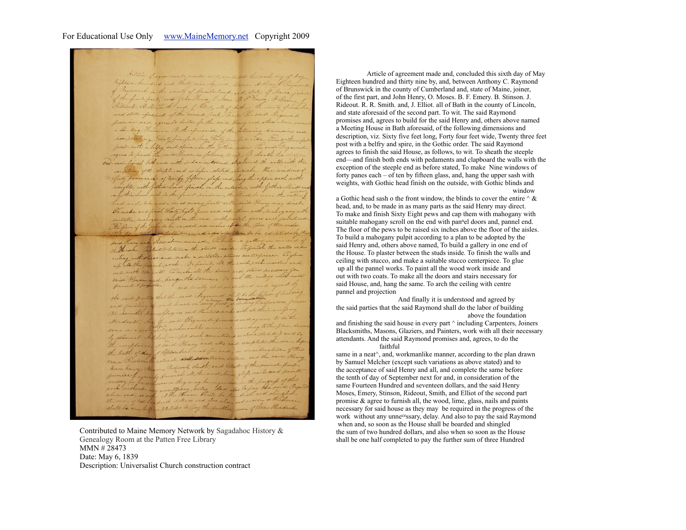## For Educational Use Only [www.MaineMemory.net](http://www.MaineMemory.net) Copyright 2009

died and thirty mine by and shown talling in the country of Camberland and, state of Maine fin ist part and John Henry, O. how B. P. Emery. B. F. ternet. R. P. Puitte and, J. Eller, all of Bett in the country of Lead not state africaid of the second hart The first Presside Barnen of mise and, agrees to build for the said Henry and other Muting House in Bath aforesaid, of the following dimensions and discription viz. State five fut long, Forty four fut with There there for was with a beller and spice, in the girlie nder. On unich the said House, as follows, to with. To sheath and finish both ends with redaments and deposant the walls with the constine of the stuple and as before, stated, In make the windows of forty paniescale of two fy fifteen glops and, here the appearant with a bothic head sach to the heart windown the thirds to even the city bed and belo made in as many harts nother said to Do wake and himsel Seate Right heavy and cape them with witable malogany send on the end with partil dove and partiel ins flow of the pets to be saided six inches stode the In a publish according to captain to be advis Have said there store named, To mile a getting A House. Toplaster between the stude inside. To finish the thousand . Sophoetic believe the same made . So given . To glue under the paral work. To paint all the wood work my with two could. Fo make all the doors and stairs necessary out write two casts. it's make same. To out the circuit ton bud hindly it is understand Stendard, had the said Raymond promisional, agrees which were not such variations we alo und Rebelin ance Henry and alls, and complet liath of day of lipson ben west. for and in course Purling the dred dril, sweather, dollars, and the dred and Smith, and Eleit of the rod, line stape

Contributed to Maine Memory Network by Sagadahoc History & Genealogy Room at the Patten Free Library MMN # 28473 Date: May 6, 1839 Description: Universalist Church construction contract

 Article of agreement made and, concluded this sixth day of May Eighteen hundred and thirty nine by, and, between Anthony C. Raymond of Brunswick in the county of Cumberland and, state of Maine, joiner, of the first part, and John Henry, O. Moses. B. F. Emery. B. Stinson. J. Rideout. R. R. Smith. and, J. Elliot. all of Bath in the county of Lincoln, and state aforesaid of the second part. To wit. The said Raymond promises and, agrees to build for the said Henry and, others above named a Meeting House in Bath aforesaid, of the following dimensions and description, viz. Sixty five feet long, Forty four feet wide, Twenty three feet post with a belfry and spire, in the Gothic order. The said Raymond agrees to finish the said House, as follows, to wit. To sheath the steeple end—and finish both ends with pedaments and clapboard the walls with the exception of the steeple end as before stated, To make Nine windows of forty panes each – of ten by fifteen glass, and, hang the upper sash with weights, with Gothic head finish on the outside, with Gothic blinds and window window

a Gothic head sash o the front window, the blinds to cover the entire  $\wedge \&$ head, and, to be made in as many parts as the said Henry may direct. To make and finish Sixty Eight pews and cap them with mahogany with suitable mahogany scroll on the end with pan<sup>n</sup>el doors and, pannel end. The floor of the pews to be raised six inches above the floor of the aisles. To build a mahogany pulpit according to a plan to be adopted by the said Henry and, others above named. To build a gallery in one end of the House. To plaster between the studs inside. To finish the walls and ceiling with stucco, and make a suitable stucco centerpiece. To glue up all the pannel works. To paint all the wood work inside and out with two coats. To make all the doors and stairs necessary for said House, and, hang the same. To arch the ceiling with centre pannel and projection

 And finally it is understood and agreed by the said parties that the said Raymond shall do the labor of building above the foundation

and finishing the said house in every part ^ including Carpenters, Joiners Blacksmiths, Masons, Glaziers, and Painters, work with all their necessary attendants. And the said Raymond promises and, agrees, to do the faithful

same in a neat<sup> $\land$ </sup>, and, workmanlike manner, according to the plan drawn by Samuel Melcher (except such variations as above stated) and to the acceptance of said Henry and all, and complete the same before the tenth of day of September next for and, in consideration of the same Fourteen Hundred and seventeen dollars, and the said Henry Moses, Emery, Stinson, Rideout, Smith, and Elliot of the second part promise & agree to furnish all, the wood, lime, glass, nails and paints necessary for said house as they may be required in the progress of the work without any unne<sup>ce</sup>ssary, delay. And also to pay the said Raymond when and, so soon as the House shall be boarded and shingled the sum of two hundred dollars, and also when so soon as the House shall be one half completed to pay the further sum of three Hundred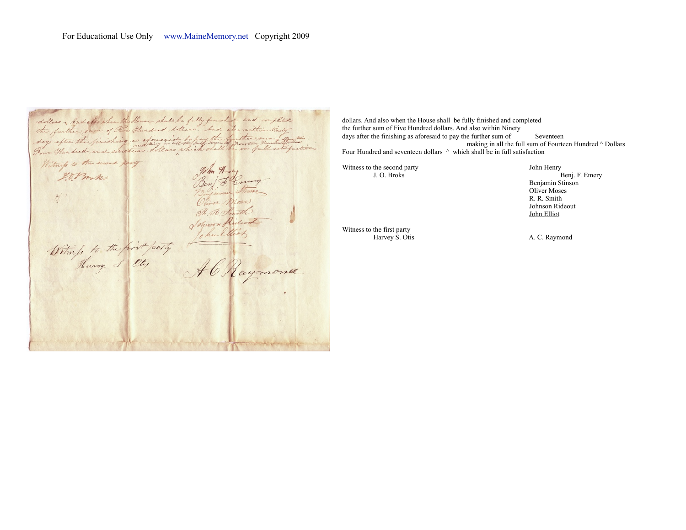dollars, And also she the House shall be fully finished and worklick the further sam of Two Gluxdred dollars. And also carthin Posty Oliver M R. R. Strait Johnson Richard John Click

dollars. And also when the House shall be fully finished and completed the further sum of Five Hundred dollars. And also within Ninety days after the finishing as aforesaid to pay the further sum of Seventeen making in all the full sum of Fourteen Hundred ^ Dollars Four Hundred and seventeen dollars  $\wedge$  which shall be in full satisfaction

Witness to the second party J. O. Broks Function Control of the Media Solomon Control of the Media Solomon Control of the Media Solomon Control of the Media Solomon Control of the Media Solomon Control of the Media Solomon

Benj. F. Emery Benjamin Stinson Oliver Moses R. R. Smith Johnson Rideout John Elliot

Witness to the first party<br>Harvey S. Otis

A. C. Raymond